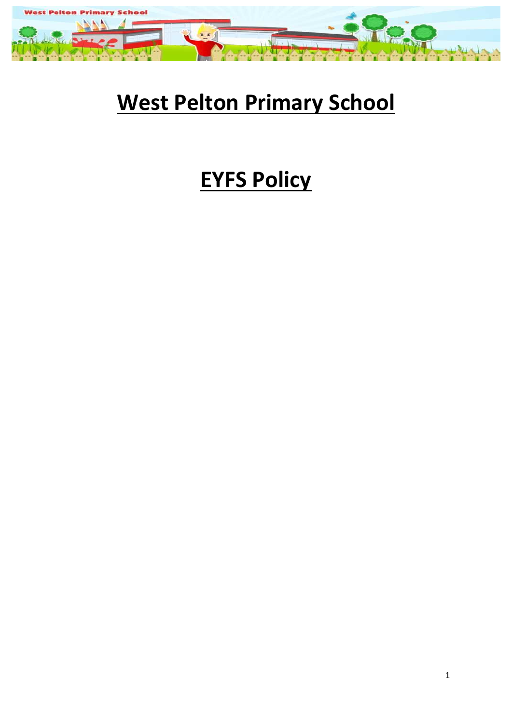

## **West Pelton Primary School**

# **EYFS Policy**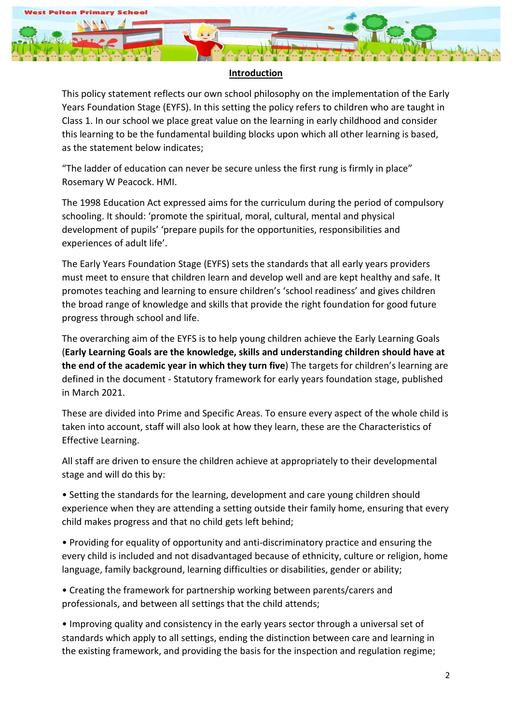

#### **Introduction**

This policy statement reflects our own school philosophy on the implementation of the Early Years Foundation Stage (EYFS). In this setting the policy refers to children who are taught in Class 1. In our school we place great value on the learning in early childhood and consider this learning to be the fundamental building blocks upon which all other learning is based, as the statement below indicates;

"The ladder of education can never be secure unless the first rung is firmly in place" Rosemary W Peacock. HMI.

The 1998 Education Act expressed aims for the curriculum during the period of compulsory schooling. It should: 'promote the spiritual, moral, cultural, mental and physical development of pupils' 'prepare pupils for the opportunities, responsibilities and experiences of adult life'.

The Early Years Foundation Stage (EYFS) sets the standards that all early years providers must meet to ensure that children learn and develop well and are kept healthy and safe. It promotes teaching and learning to ensure children's 'school readiness' and gives children the broad range of knowledge and skills that provide the right foundation for good future progress through school and life.

The overarching aim of the EYFS is to help young children achieve the Early Learning Goals (**Early Learning Goals are the knowledge, skills and understanding children should have at the end of the academic year in which they turn five**) The targets for children's learning are defined in the document - Statutory framework for early years foundation stage, published in March 2021.

These are divided into Prime and Specific Areas. To ensure every aspect of the whole child is taken into account, staff will also look at how they learn, these are the Characteristics of Effective Learning.

All staff are driven to ensure the children achieve at appropriately to their developmental stage and will do this by:

• Setting the standards for the learning, development and care young children should experience when they are attending a setting outside their family home, ensuring that every child makes progress and that no child gets left behind;

• Providing for equality of opportunity and anti-discriminatory practice and ensuring the every child is included and not disadvantaged because of ethnicity, culture or religion, home language, family background, learning difficulties or disabilities, gender or ability;

• Creating the framework for partnership working between parents/carers and professionals, and between all settings that the child attends;

• Improving quality and consistency in the early years sector through a universal set of standards which apply to all settings, ending the distinction between care and learning in the existing framework, and providing the basis for the inspection and regulation regime;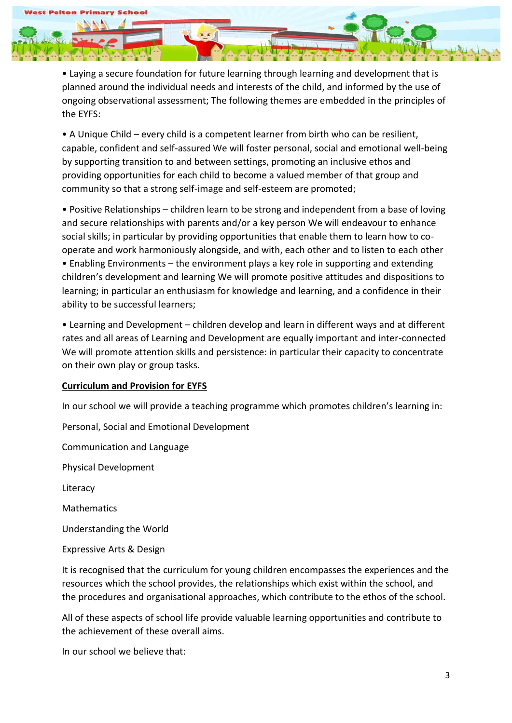• Laying a secure foundation for future learning through learning and development that is planned around the individual needs and interests of the child, and informed by the use of ongoing observational assessment; The following themes are embedded in the principles of the EYFS:

• A Unique Child – every child is a competent learner from birth who can be resilient, capable, confident and self-assured We will foster personal, social and emotional well-being by supporting transition to and between settings, promoting an inclusive ethos and providing opportunities for each child to become a valued member of that group and community so that a strong self-image and self-esteem are promoted;

• Positive Relationships – children learn to be strong and independent from a base of loving and secure relationships with parents and/or a key person We will endeavour to enhance social skills; in particular by providing opportunities that enable them to learn how to cooperate and work harmoniously alongside, and with, each other and to listen to each other • Enabling Environments – the environment plays a key role in supporting and extending children's development and learning We will promote positive attitudes and dispositions to learning; in particular an enthusiasm for knowledge and learning, and a confidence in their ability to be successful learners;

• Learning and Development – children develop and learn in different ways and at different rates and all areas of Learning and Development are equally important and inter-connected We will promote attention skills and persistence: in particular their capacity to concentrate on their own play or group tasks.

### **Curriculum and Provision for EYFS**

In our school we will provide a teaching programme which promotes children's learning in:

Personal, Social and Emotional Development

Communication and Language

Physical Development

Literacy

Mathematics

Understanding the World

Expressive Arts & Design

It is recognised that the curriculum for young children encompasses the experiences and the resources which the school provides, the relationships which exist within the school, and the procedures and organisational approaches, which contribute to the ethos of the school.

All of these aspects of school life provide valuable learning opportunities and contribute to the achievement of these overall aims.

In our school we believe that: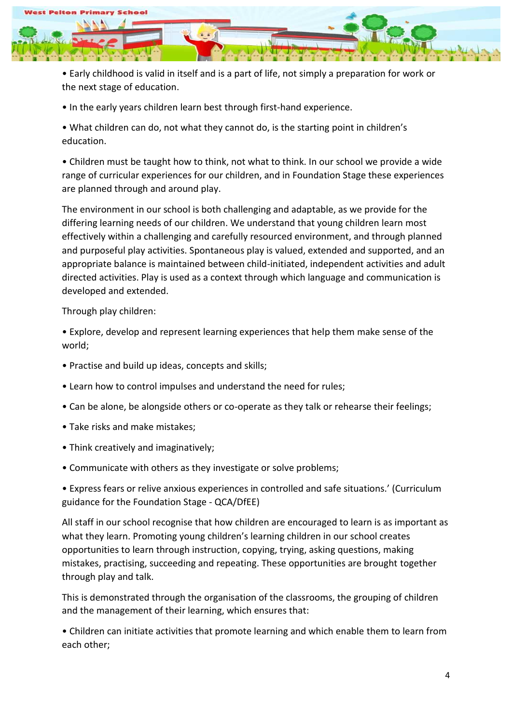

• Early childhood is valid in itself and is a part of life, not simply a preparation for work or the next stage of education.

• In the early years children learn best through first-hand experience.

• What children can do, not what they cannot do, is the starting point in children's education.

• Children must be taught how to think, not what to think. In our school we provide a wide range of curricular experiences for our children, and in Foundation Stage these experiences are planned through and around play.

The environment in our school is both challenging and adaptable, as we provide for the differing learning needs of our children. We understand that young children learn most effectively within a challenging and carefully resourced environment, and through planned and purposeful play activities. Spontaneous play is valued, extended and supported, and an appropriate balance is maintained between child-initiated, independent activities and adult directed activities. Play is used as a context through which language and communication is developed and extended.

Through play children:

• Explore, develop and represent learning experiences that help them make sense of the world;

- Practise and build up ideas, concepts and skills;
- Learn how to control impulses and understand the need for rules;
- Can be alone, be alongside others or co-operate as they talk or rehearse their feelings;
- Take risks and make mistakes;
- Think creatively and imaginatively;
- Communicate with others as they investigate or solve problems;

• Express fears or relive anxious experiences in controlled and safe situations.' (Curriculum guidance for the Foundation Stage - QCA/DfEE)

All staff in our school recognise that how children are encouraged to learn is as important as what they learn. Promoting young children's learning children in our school creates opportunities to learn through instruction, copying, trying, asking questions, making mistakes, practising, succeeding and repeating. These opportunities are brought together through play and talk.

This is demonstrated through the organisation of the classrooms, the grouping of children and the management of their learning, which ensures that:

• Children can initiate activities that promote learning and which enable them to learn from each other;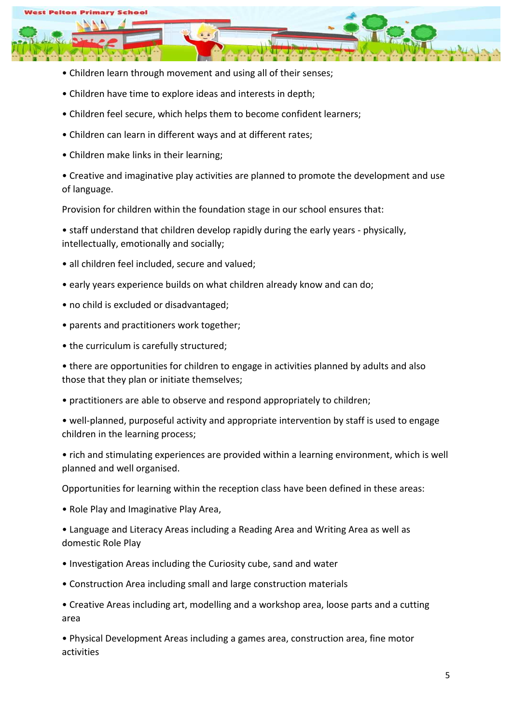

- Children learn through movement and using all of their senses;
- Children have time to explore ideas and interests in depth;
- Children feel secure, which helps them to become confident learners;
- Children can learn in different ways and at different rates;
- Children make links in their learning;

• Creative and imaginative play activities are planned to promote the development and use of language.

Provision for children within the foundation stage in our school ensures that:

• staff understand that children develop rapidly during the early years - physically, intellectually, emotionally and socially;

- all children feel included, secure and valued;
- early years experience builds on what children already know and can do;
- no child is excluded or disadvantaged;
- parents and practitioners work together;
- the curriculum is carefully structured;

• there are opportunities for children to engage in activities planned by adults and also those that they plan or initiate themselves;

- practitioners are able to observe and respond appropriately to children;
- well-planned, purposeful activity and appropriate intervention by staff is used to engage children in the learning process;

• rich and stimulating experiences are provided within a learning environment, which is well planned and well organised.

Opportunities for learning within the reception class have been defined in these areas:

- Role Play and Imaginative Play Area,
- Language and Literacy Areas including a Reading Area and Writing Area as well as domestic Role Play
- Investigation Areas including the Curiosity cube, sand and water
- Construction Area including small and large construction materials
- Creative Areas including art, modelling and a workshop area, loose parts and a cutting area

• Physical Development Areas including a games area, construction area, fine motor activities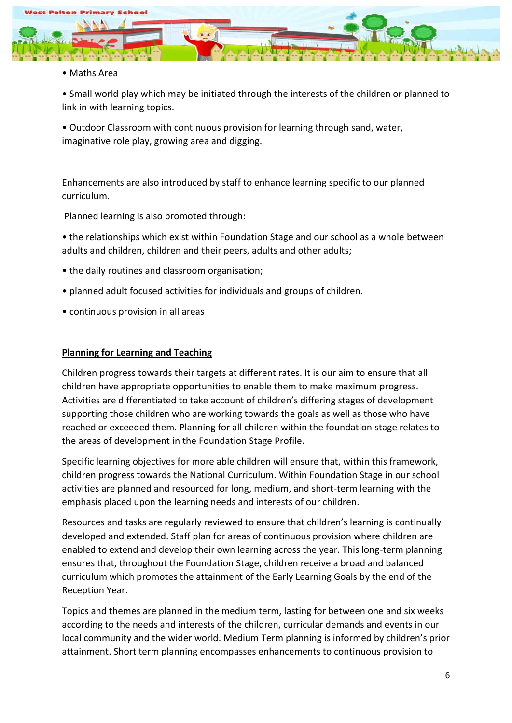

• Maths Area

• Small world play which may be initiated through the interests of the children or planned to link in with learning topics.

• Outdoor Classroom with continuous provision for learning through sand, water, imaginative role play, growing area and digging.

Enhancements are also introduced by staff to enhance learning specific to our planned curriculum.

Planned learning is also promoted through:

- the relationships which exist within Foundation Stage and our school as a whole between adults and children, children and their peers, adults and other adults;
- the daily routines and classroom organisation;
- planned adult focused activities for individuals and groups of children.
- continuous provision in all areas

#### **Planning for Learning and Teaching**

Children progress towards their targets at different rates. It is our aim to ensure that all children have appropriate opportunities to enable them to make maximum progress. Activities are differentiated to take account of children's differing stages of development supporting those children who are working towards the goals as well as those who have reached or exceeded them. Planning for all children within the foundation stage relates to the areas of development in the Foundation Stage Profile.

Specific learning objectives for more able children will ensure that, within this framework, children progress towards the National Curriculum. Within Foundation Stage in our school activities are planned and resourced for long, medium, and short-term learning with the emphasis placed upon the learning needs and interests of our children.

Resources and tasks are regularly reviewed to ensure that children's learning is continually developed and extended. Staff plan for areas of continuous provision where children are enabled to extend and develop their own learning across the year. This long-term planning ensures that, throughout the Foundation Stage, children receive a broad and balanced curriculum which promotes the attainment of the Early Learning Goals by the end of the Reception Year.

Topics and themes are planned in the medium term, lasting for between one and six weeks according to the needs and interests of the children, curricular demands and events in our local community and the wider world. Medium Term planning is informed by children's prior attainment. Short term planning encompasses enhancements to continuous provision to